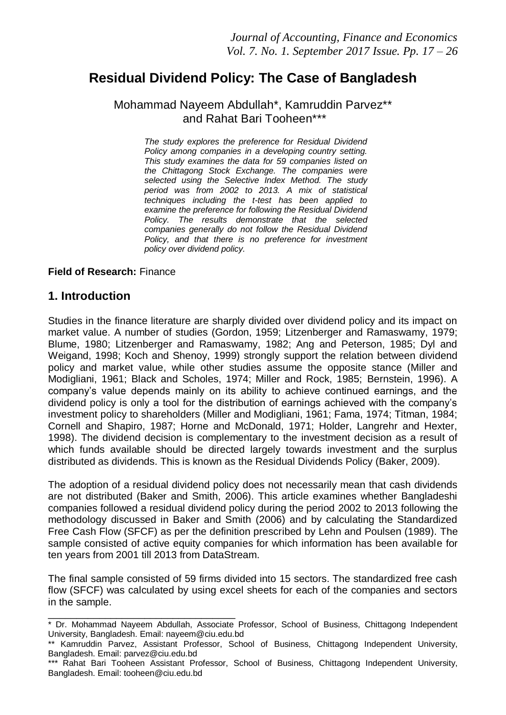# **Residual Dividend Policy: The Case of Bangladesh**

#### Mohammad Nayeem Abdullah\*, Kamruddin Parvez\*\* and Rahat Bari Tooheen\*\*\*

*The study explores the preference for Residual Dividend Policy among companies in a developing country setting. This study examines the data for 59 companies listed on the Chittagong Stock Exchange. The companies were selected using the Selective Index Method. The study period was from 2002 to 2013. A mix of statistical techniques including the t-test has been applied to examine the preference for following the Residual Dividend Policy. The results demonstrate that the selected companies generally do not follow the Residual Dividend Policy, and that there is no preference for investment policy over dividend policy.*

#### **Field of Research:** Finance

#### **1. Introduction**

Studies in the finance literature are sharply divided over dividend policy and its impact on market value. A number of studies (Gordon, 1959; Litzenberger and Ramaswamy, 1979; Blume, 1980; Litzenberger and Ramaswamy, 1982; Ang and Peterson, 1985; Dyl and Weigand, 1998; Koch and Shenoy, 1999) strongly support the relation between dividend policy and market value, while other studies assume the opposite stance (Miller and Modigliani, 1961; Black and Scholes, 1974; Miller and Rock, 1985; Bernstein, 1996). A company's value depends mainly on its ability to achieve continued earnings, and the dividend policy is only a tool for the distribution of earnings achieved with the company's investment policy to shareholders (Miller and Modigliani, 1961; Fama, 1974; Titman, 1984; Cornell and Shapiro, 1987; Horne and McDonald, 1971; Holder, Langrehr and Hexter, 1998). The dividend decision is complementary to the investment decision as a result of which funds available should be directed largely towards investment and the surplus distributed as dividends. This is known as the Residual Dividends Policy (Baker, 2009).

The adoption of a residual dividend policy does not necessarily mean that cash dividends are not distributed (Baker and Smith, 2006). This article examines whether Bangladeshi companies followed a residual dividend policy during the period 2002 to 2013 following the methodology discussed in Baker and Smith (2006) and by calculating the Standardized Free Cash Flow (SFCF) as per the definition prescribed by Lehn and Poulsen (1989). The sample consisted of active equity companies for which information has been available for ten years from 2001 till 2013 from DataStream.

The final sample consisted of 59 firms divided into 15 sectors. The standardized free cash flow (SFCF) was calculated by using excel sheets for each of the companies and sectors in the sample.

\_\_\_\_\_\_\_\_\_\_\_\_\_\_\_\_\_\_\_\_\_\_\_\_\_\_\_\_\_\_\_\_\_ \* Dr. Mohammad Nayeem Abdullah, Associate Professor, School of Business, Chittagong Independent University, Bangladesh. Email: nayeem@ciu.edu.bd

<sup>\*\*</sup> Kamruddin Parvez, Assistant Professor, School of Business, Chittagong Independent University, Bangladesh. Email: parvez@ciu.edu.bd

<sup>\*\*\*</sup> Rahat Bari Tooheen Assistant Professor, School of Business, Chittagong Independent University, Bangladesh. Email: tooheen@ciu.edu.bd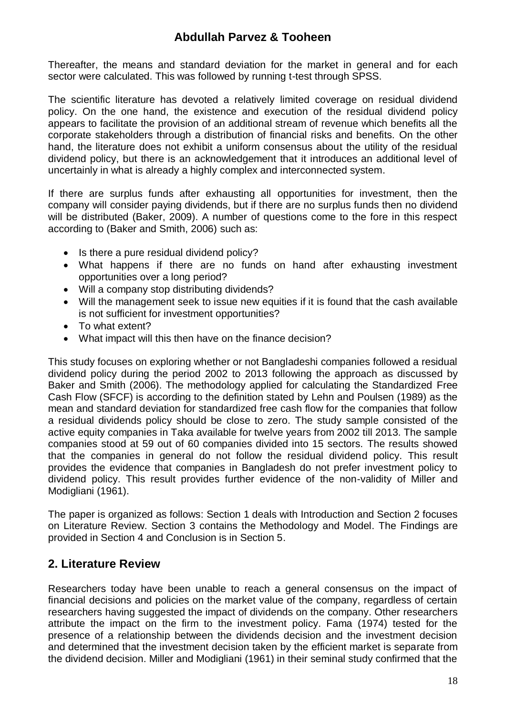Thereafter, the means and standard deviation for the market in general and for each sector were calculated. This was followed by running t-test through SPSS.

The scientific literature has devoted a relatively limited coverage on residual dividend policy. On the one hand, the existence and execution of the residual dividend policy appears to facilitate the provision of an additional stream of revenue which benefits all the corporate stakeholders through a distribution of financial risks and benefits. On the other hand, the literature does not exhibit a uniform consensus about the utility of the residual dividend policy, but there is an acknowledgement that it introduces an additional level of uncertainly in what is already a highly complex and interconnected system.

If there are surplus funds after exhausting all opportunities for investment, then the company will consider paying dividends, but if there are no surplus funds then no dividend will be distributed (Baker, 2009). A number of questions come to the fore in this respect according to (Baker and Smith, 2006) such as:

- Is there a pure residual dividend policy?
- What happens if there are no funds on hand after exhausting investment opportunities over a long period?
- Will a company stop distributing dividends?
- Will the management seek to issue new equities if it is found that the cash available is not sufficient for investment opportunities?
- To what extent?
- What impact will this then have on the finance decision?

This study focuses on exploring whether or not Bangladeshi companies followed a residual dividend policy during the period 2002 to 2013 following the approach as discussed by Baker and Smith (2006). The methodology applied for calculating the Standardized Free Cash Flow (SFCF) is according to the definition stated by Lehn and Poulsen (1989) as the mean and standard deviation for standardized free cash flow for the companies that follow a residual dividends policy should be close to zero. The study sample consisted of the active equity companies in Taka available for twelve years from 2002 till 2013. The sample companies stood at 59 out of 60 companies divided into 15 sectors. The results showed that the companies in general do not follow the residual dividend policy. This result provides the evidence that companies in Bangladesh do not prefer investment policy to dividend policy. This result provides further evidence of the non-validity of Miller and Modigliani (1961).

The paper is organized as follows: Section 1 deals with Introduction and Section 2 focuses on Literature Review. Section 3 contains the Methodology and Model. The Findings are provided in Section 4 and Conclusion is in Section 5.

#### **2. Literature Review**

Researchers today have been unable to reach a general consensus on the impact of financial decisions and policies on the market value of the company, regardless of certain researchers having suggested the impact of dividends on the company. Other researchers attribute the impact on the firm to the investment policy. Fama (1974) tested for the presence of a relationship between the dividends decision and the investment decision and determined that the investment decision taken by the efficient market is separate from the dividend decision. Miller and Modigliani (1961) in their seminal study confirmed that the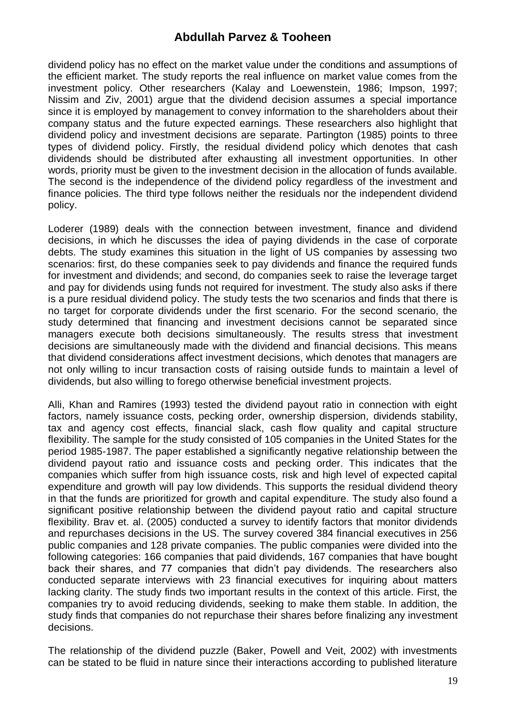dividend policy has no effect on the market value under the conditions and assumptions of the efficient market. The study reports the real influence on market value comes from the investment policy. Other researchers (Kalay and Loewenstein, 1986; Impson, 1997; Nissim and Ziv, 2001) argue that the dividend decision assumes a special importance since it is employed by management to convey information to the shareholders about their company status and the future expected earnings. These researchers also highlight that dividend policy and investment decisions are separate. Partington (1985) points to three types of dividend policy. Firstly, the residual dividend policy which denotes that cash dividends should be distributed after exhausting all investment opportunities. In other words, priority must be given to the investment decision in the allocation of funds available. The second is the independence of the dividend policy regardless of the investment and finance policies. The third type follows neither the residuals nor the independent dividend policy.

Loderer (1989) deals with the connection between investment, finance and dividend decisions, in which he discusses the idea of paying dividends in the case of corporate debts. The study examines this situation in the light of US companies by assessing two scenarios: first, do these companies seek to pay dividends and finance the required funds for investment and dividends; and second, do companies seek to raise the leverage target and pay for dividends using funds not required for investment. The study also asks if there is a pure residual dividend policy. The study tests the two scenarios and finds that there is no target for corporate dividends under the first scenario. For the second scenario, the study determined that financing and investment decisions cannot be separated since managers execute both decisions simultaneously. The results stress that investment decisions are simultaneously made with the dividend and financial decisions. This means that dividend considerations affect investment decisions, which denotes that managers are not only willing to incur transaction costs of raising outside funds to maintain a level of dividends, but also willing to forego otherwise beneficial investment projects.

Alli, Khan and Ramires (1993) tested the dividend payout ratio in connection with eight factors, namely issuance costs, pecking order, ownership dispersion, dividends stability, tax and agency cost effects, financial slack, cash flow quality and capital structure flexibility. The sample for the study consisted of 105 companies in the United States for the period 1985-1987. The paper established a significantly negative relationship between the dividend payout ratio and issuance costs and pecking order. This indicates that the companies which suffer from high issuance costs, risk and high level of expected capital expenditure and growth will pay low dividends. This supports the residual dividend theory in that the funds are prioritized for growth and capital expenditure. The study also found a significant positive relationship between the dividend payout ratio and capital structure flexibility. Brav et. al. (2005) conducted a survey to identify factors that monitor dividends and repurchases decisions in the US. The survey covered 384 financial executives in 256 public companies and 128 private companies. The public companies were divided into the following categories: 166 companies that paid dividends, 167 companies that have bought back their shares, and 77 companies that didn't pay dividends. The researchers also conducted separate interviews with 23 financial executives for inquiring about matters lacking clarity. The study finds two important results in the context of this article. First, the companies try to avoid reducing dividends, seeking to make them stable. In addition, the study finds that companies do not repurchase their shares before finalizing any investment decisions.

The relationship of the dividend puzzle (Baker, Powell and Veit, 2002) with investments can be stated to be fluid in nature since their interactions according to published literature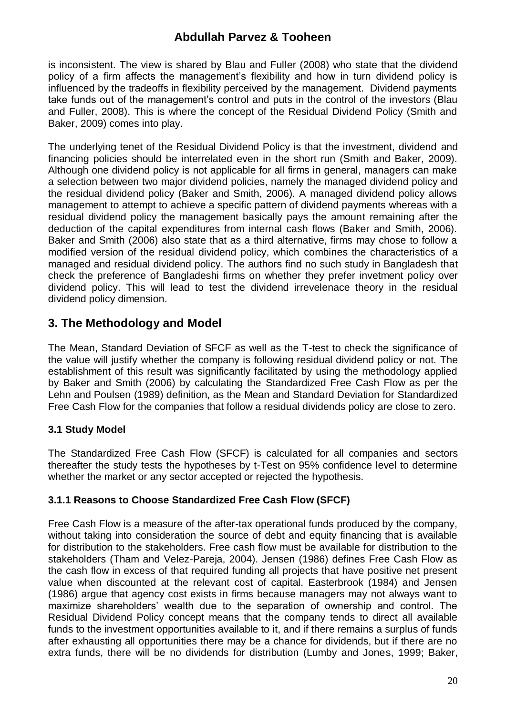is inconsistent. The view is shared by Blau and Fuller (2008) who state that the dividend policy of a firm affects the management's flexibility and how in turn dividend policy is influenced by the tradeoffs in flexibility perceived by the management. Dividend payments take funds out of the management's control and puts in the control of the investors (Blau and Fuller, 2008). This is where the concept of the Residual Dividend Policy (Smith and Baker, 2009) comes into play.

The underlying tenet of the Residual Dividend Policy is that the investment, dividend and financing policies should be interrelated even in the short run (Smith and Baker, 2009). Although one dividend policy is not applicable for all firms in general, managers can make a selection between two major dividend policies, namely the managed dividend policy and the residual dividend policy (Baker and Smith, 2006). A managed dividend policy allows management to attempt to achieve a specific pattern of dividend payments whereas with a residual dividend policy the management basically pays the amount remaining after the deduction of the capital expenditures from internal cash flows (Baker and Smith, 2006). Baker and Smith (2006) also state that as a third alternative, firms may chose to follow a modified version of the residual dividend policy, which combines the characteristics of a managed and residual dividend policy. The authors find no such study in Bangladesh that check the preference of Bangladeshi firms on whether they prefer invetment policy over dividend policy. This will lead to test the dividend irrevelenace theory in the residual dividend policy dimension.

## **3. The Methodology and Model**

The Mean, Standard Deviation of SFCF as well as the T-test to check the significance of the value will justify whether the company is following residual dividend policy or not. The establishment of this result was significantly facilitated by using the methodology applied by Baker and Smith (2006) by calculating the Standardized Free Cash Flow as per the Lehn and Poulsen (1989) definition, as the Mean and Standard Deviation for Standardized Free Cash Flow for the companies that follow a residual dividends policy are close to zero.

#### **3.1 Study Model**

The Standardized Free Cash Flow (SFCF) is calculated for all companies and sectors thereafter the study tests the hypotheses by t-Test on 95% confidence level to determine whether the market or any sector accepted or rejected the hypothesis.

#### **3.1.1 Reasons to Choose Standardized Free Cash Flow (SFCF)**

Free Cash Flow is a measure of the after-tax operational funds produced by the company, without taking into consideration the source of debt and equity financing that is available for distribution to the stakeholders. Free cash flow must be available for distribution to the stakeholders (Tham and Velez-Pareja, 2004). Jensen (1986) defines Free Cash Flow as the cash flow in excess of that required funding all projects that have positive net present value when discounted at the relevant cost of capital. Easterbrook (1984) and Jensen (1986) argue that agency cost exists in firms because managers may not always want to maximize shareholders' wealth due to the separation of ownership and control. The Residual Dividend Policy concept means that the company tends to direct all available funds to the investment opportunities available to it, and if there remains a surplus of funds after exhausting all opportunities there may be a chance for dividends, but if there are no extra funds, there will be no dividends for distribution (Lumby and Jones, 1999; Baker,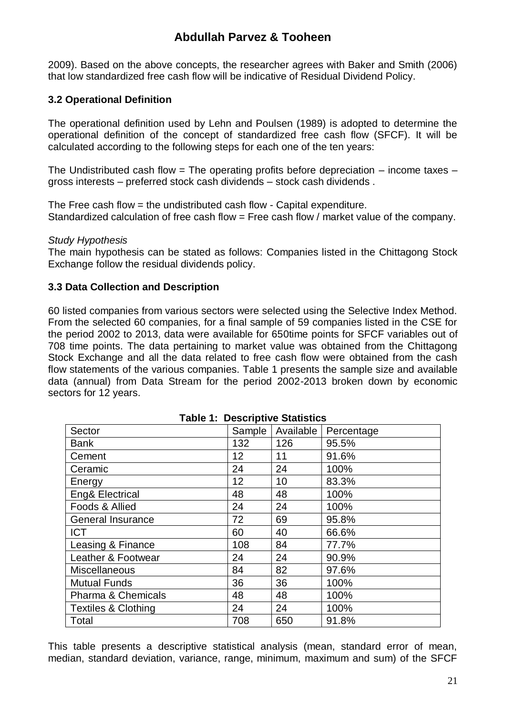2009). Based on the above concepts, the researcher agrees with Baker and Smith (2006) that low standardized free cash flow will be indicative of Residual Dividend Policy.

#### **3.2 Operational Definition**

The operational definition used by Lehn and Poulsen (1989) is adopted to determine the operational definition of the concept of standardized free cash flow (SFCF). It will be calculated according to the following steps for each one of the ten years:

The Undistributed cash flow  $=$  The operating profits before depreciation  $-$  income taxes  $$ gross interests – preferred stock cash dividends – stock cash dividends .

The Free cash flow = the undistributed cash flow - Capital expenditure. Standardized calculation of free cash flow = Free cash flow / market value of the company.

#### *Study Hypothesis*

The main hypothesis can be stated as follows: Companies listed in the Chittagong Stock Exchange follow the residual dividends policy.

#### **3.3 Data Collection and Description**

60 listed companies from various sectors were selected using the Selective Index Method. From the selected 60 companies, for a final sample of 59 companies listed in the CSE for the period 2002 to 2013, data were available for 650time points for SFCF variables out of 708 time points. The data pertaining to market value was obtained from the Chittagong Stock Exchange and all the data related to free cash flow were obtained from the cash flow statements of the various companies. Table 1 presents the sample size and available data (annual) from Data Stream for the period 2002-2013 broken down by economic sectors for 12 years.

| asio :: Dooonparo Dianono |           |            |  |  |  |  |
|---------------------------|-----------|------------|--|--|--|--|
| Sample                    | Available | Percentage |  |  |  |  |
| 132                       | 126       | 95.5%      |  |  |  |  |
| 12                        | 11        | 91.6%      |  |  |  |  |
| 24                        | 24        | 100%       |  |  |  |  |
| 12                        | 10        | 83.3%      |  |  |  |  |
| 48                        | 48        | 100%       |  |  |  |  |
| 24                        | 24        | 100%       |  |  |  |  |
| 72                        | 69        | 95.8%      |  |  |  |  |
| 60                        | 40        | 66.6%      |  |  |  |  |
| 108                       | 84        | 77.7%      |  |  |  |  |
| 24                        | 24        | 90.9%      |  |  |  |  |
| 84                        | 82        | 97.6%      |  |  |  |  |
| 36                        | 36        | 100%       |  |  |  |  |
| 48                        | 48        | 100%       |  |  |  |  |
| 24                        | 24        | 100%       |  |  |  |  |
| 708                       | 650       | 91.8%      |  |  |  |  |
|                           |           |            |  |  |  |  |

#### **Table 1: Descriptive Statistics**

This table presents a descriptive statistical analysis (mean, standard error of mean, median, standard deviation, variance, range, minimum, maximum and sum) of the SFCF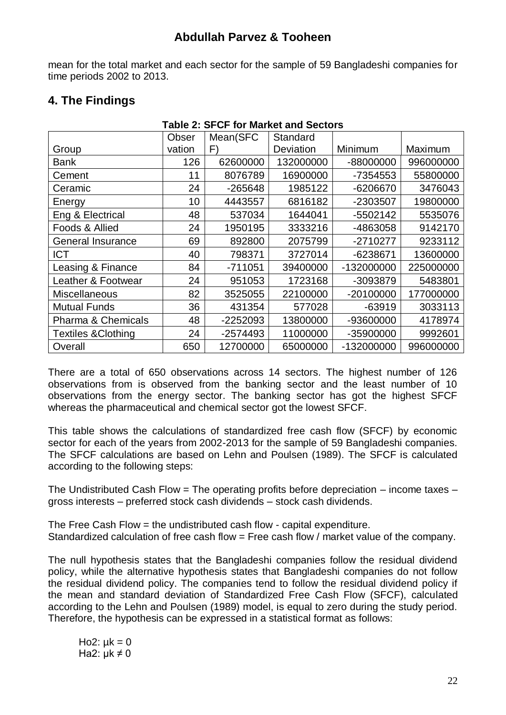mean for the total market and each sector for the sample of 59 Bangladeshi companies for time periods 2002 to 2013.

**Table 2: SFCF for Market and Sectors**

|  |  | 4. The Findings |
|--|--|-----------------|
|--|--|-----------------|

|                                | Obser  | Mean(SFC  | Standard  |            |           |  |  |
|--------------------------------|--------|-----------|-----------|------------|-----------|--|--|
| Group                          | vation | F)        | Deviation | Minimum    | Maximum   |  |  |
| Bank                           | 126    | 62600000  | 132000000 | -88000000  | 996000000 |  |  |
| Cement                         | 11     | 8076789   | 16900000  | -7354553   | 55800000  |  |  |
| Ceramic                        | 24     | $-265648$ | 1985122   | -6206670   | 3476043   |  |  |
| Energy                         | 10     | 4443557   | 6816182   | -2303507   | 19800000  |  |  |
| Eng & Electrical               | 48     | 537034    | 1644041   | -5502142   | 5535076   |  |  |
| Foods & Allied                 | 24     | 1950195   | 3333216   | -4863058   | 9142170   |  |  |
| General Insurance              | 69     | 892800    | 2075799   | -2710277   | 9233112   |  |  |
| <b>ICT</b>                     | 40     | 798371    | 3727014   | -6238671   | 13600000  |  |  |
| Leasing & Finance              | 84     | $-711051$ | 39400000  | -132000000 | 225000000 |  |  |
| Leather & Footwear             | 24     | 951053    | 1723168   | -3093879   | 5483801   |  |  |
| <b>Miscellaneous</b>           | 82     | 3525055   | 22100000  | -20100000  | 177000000 |  |  |
| <b>Mutual Funds</b>            | 36     | 431354    | 577028    | $-63919$   | 3033113   |  |  |
| <b>Pharma &amp; Chemicals</b>  | 48     | -2252093  | 13800000  | -93600000  | 4178974   |  |  |
| <b>Textiles &amp; Clothing</b> | 24     | -2574493  | 11000000  | -35900000  | 9992601   |  |  |
| Overall                        | 650    | 12700000  | 65000000  | -132000000 | 996000000 |  |  |

There are a total of 650 observations across 14 sectors. The highest number of 126 observations from is observed from the banking sector and the least number of 10 observations from the energy sector. The banking sector has got the highest SFCF whereas the pharmaceutical and chemical sector got the lowest SFCF.

This table shows the calculations of standardized free cash flow (SFCF) by economic sector for each of the years from 2002-2013 for the sample of 59 Bangladeshi companies. The SFCF calculations are based on Lehn and Poulsen (1989). The SFCF is calculated according to the following steps:

The Undistributed Cash Flow = The operating profits before depreciation – income taxes – gross interests – preferred stock cash dividends – stock cash dividends.

The Free Cash Flow = the undistributed cash flow - capital expenditure. Standardized calculation of free cash flow = Free cash flow / market value of the company.

The null hypothesis states that the Bangladeshi companies follow the residual dividend policy, while the alternative hypothesis states that Bangladeshi companies do not follow the residual dividend policy. The companies tend to follow the residual dividend policy if the mean and standard deviation of Standardized Free Cash Flow (SFCF), calculated according to the Lehn and Poulsen (1989) model, is equal to zero during the study period. Therefore, the hypothesis can be expressed in a statistical format as follows:

Ho2:  $\mu$ k = 0 Ha2:  $\mu$ k  $\neq$  0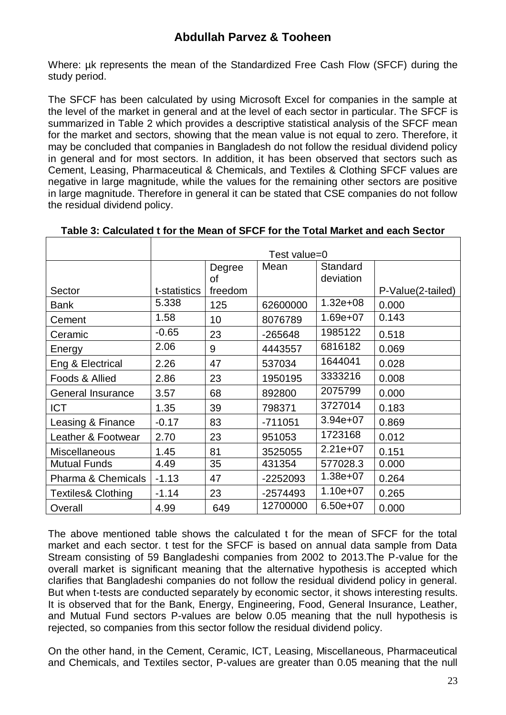Where: µk represents the mean of the Standardized Free Cash Flow (SFCF) during the study period.

The SFCF has been calculated by using Microsoft Excel for companies in the sample at the level of the market in general and at the level of each sector in particular. The SFCF is summarized in Table 2 which provides a descriptive statistical analysis of the SFCF mean for the market and sectors, showing that the mean value is not equal to zero. Therefore, it may be concluded that companies in Bangladesh do not follow the residual dividend policy in general and for most sectors. In addition, it has been observed that sectors such as Cement, Leasing, Pharmaceutical & Chemicals, and Textiles & Clothing SFCF values are negative in large magnitude, while the values for the remaining other sectors are positive in large magnitude. Therefore in general it can be stated that CSE companies do not follow the residual dividend policy.

|                               | Test value=0 |         |           |              |                   |  |
|-------------------------------|--------------|---------|-----------|--------------|-------------------|--|
|                               |              | Degree  | Mean      | Standard     |                   |  |
|                               |              | οf      |           | deviation    |                   |  |
| Sector                        | t-statistics | freedom |           |              | P-Value(2-tailed) |  |
| Bank                          | 5.338        | 125     | 62600000  | $1.32e + 08$ | 0.000             |  |
| Cement                        | 1.58         | 10      | 8076789   | $1.69e + 07$ | 0.143             |  |
| Ceramic                       | $-0.65$      | 23      | -265648   | 1985122      | 0.518             |  |
| Energy                        | 2.06         | 9       | 4443557   | 6816182      | 0.069             |  |
| Eng & Electrical              | 2.26         | 47      | 537034    | 1644041      | 0.028             |  |
| Foods & Allied                | 2.86         | 23      | 1950195   | 3333216      | 0.008             |  |
| <b>General Insurance</b>      | 3.57         | 68      | 892800    | 2075799      | 0.000             |  |
| <b>ICT</b>                    | 1.35         | 39      | 798371    | 3727014      | 0.183             |  |
| Leasing & Finance             | $-0.17$      | 83      | $-711051$ | $3.94e+07$   | 0.869             |  |
| Leather & Footwear            | 2.70         | 23      | 951053    | 1723168      | 0.012             |  |
| <b>Miscellaneous</b>          | 1.45         | 81      | 3525055   | $2.21e+07$   | 0.151             |  |
| <b>Mutual Funds</b>           | 4.49         | 35      | 431354    | 577028.3     | 0.000             |  |
| <b>Pharma &amp; Chemicals</b> | $-1.13$      | 47      | -2252093  | $1.38e + 07$ | 0.264             |  |
| <b>Textiles&amp; Clothing</b> | $-1.14$      | 23      | -2574493  | $1.10e + 07$ | 0.265             |  |
| Overall                       | 4.99         | 649     | 12700000  | $6.50e+07$   | 0.000             |  |

**Table 3: Calculated t for the Mean of SFCF for the Total Market and each Sector**

The above mentioned table shows the calculated t for the mean of SFCF for the total market and each sector. t test for the SFCF is based on annual data sample from Data Stream consisting of 59 Bangladeshi companies from 2002 to 2013.The P-value for the overall market is significant meaning that the alternative hypothesis is accepted which clarifies that Bangladeshi companies do not follow the residual dividend policy in general. But when t-tests are conducted separately by economic sector, it shows interesting results. It is observed that for the Bank, Energy, Engineering, Food, General Insurance, Leather, and Mutual Fund sectors P-values are below 0.05 meaning that the null hypothesis is rejected, so companies from this sector follow the residual dividend policy.

On the other hand, in the Cement, Ceramic, ICT, Leasing, Miscellaneous, Pharmaceutical and Chemicals, and Textiles sector, P-values are greater than 0.05 meaning that the null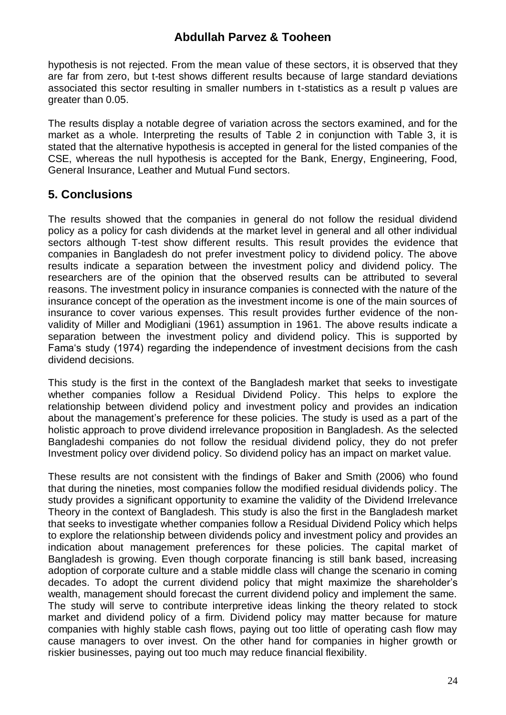hypothesis is not rejected. From the mean value of these sectors, it is observed that they are far from zero, but t-test shows different results because of large standard deviations associated this sector resulting in smaller numbers in t-statistics as a result p values are greater than 0.05.

The results display a notable degree of variation across the sectors examined, and for the market as a whole. Interpreting the results of Table 2 in conjunction with Table 3, it is stated that the alternative hypothesis is accepted in general for the listed companies of the CSE, whereas the null hypothesis is accepted for the Bank, Energy, Engineering, Food, General Insurance, Leather and Mutual Fund sectors.

#### **5. Conclusions**

The results showed that the companies in general do not follow the residual dividend policy as a policy for cash dividends at the market level in general and all other individual sectors although T-test show different results. This result provides the evidence that companies in Bangladesh do not prefer investment policy to dividend policy. The above results indicate a separation between the investment policy and dividend policy. The researchers are of the opinion that the observed results can be attributed to several reasons. The investment policy in insurance companies is connected with the nature of the insurance concept of the operation as the investment income is one of the main sources of insurance to cover various expenses. This result provides further evidence of the nonvalidity of Miller and Modigliani (1961) assumption in 1961. The above results indicate a separation between the investment policy and dividend policy. This is supported by Fama's study (1974) regarding the independence of investment decisions from the cash dividend decisions.

This study is the first in the context of the Bangladesh market that seeks to investigate whether companies follow a Residual Dividend Policy. This helps to explore the relationship between dividend policy and investment policy and provides an indication about the management's preference for these policies. The study is used as a part of the holistic approach to prove dividend irrelevance proposition in Bangladesh. As the selected Bangladeshi companies do not follow the residual dividend policy, they do not prefer Investment policy over dividend policy. So dividend policy has an impact on market value.

These results are not consistent with the findings of Baker and Smith (2006) who found that during the nineties, most companies follow the modified residual dividends policy. The study provides a significant opportunity to examine the validity of the Dividend Irrelevance Theory in the context of Bangladesh. This study is also the first in the Bangladesh market that seeks to investigate whether companies follow a Residual Dividend Policy which helps to explore the relationship between dividends policy and investment policy and provides an indication about management preferences for these policies. The capital market of Bangladesh is growing. Even though corporate financing is still bank based, increasing adoption of corporate culture and a stable middle class will change the scenario in coming decades. To adopt the current dividend policy that might maximize the shareholder's wealth, management should forecast the current dividend policy and implement the same. The study will serve to contribute interpretive ideas linking the theory related to stock market and dividend policy of a firm. Dividend policy may matter because for mature companies with highly stable cash flows, paying out too little of operating cash flow may cause managers to over invest. On the other hand for companies in higher growth or riskier businesses, paying out too much may reduce financial flexibility.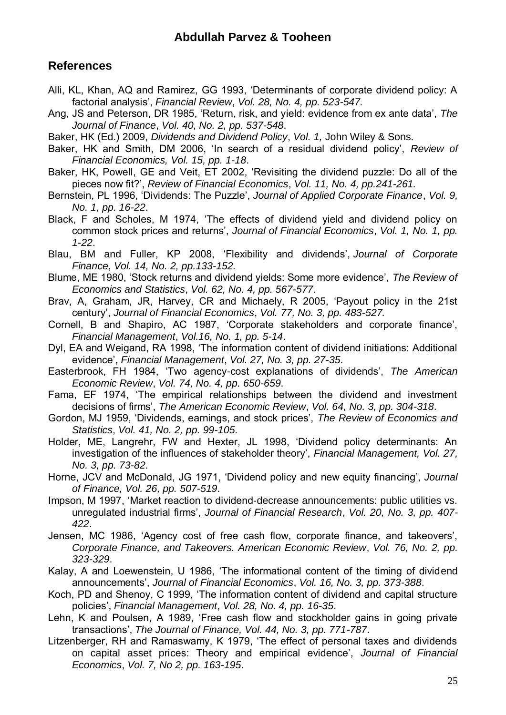#### **References**

- Alli, KL, Khan, AQ and Ramirez, GG 1993, 'Determinants of corporate dividend policy: A factorial analysis', *Financial Review*, *Vol. 28, No. 4, pp. 523-547.*
- Ang, JS and Peterson, DR 1985, 'Return, risk, and yield: evidence from ex ante data', *The Journal of Finance*, *Vol. 40, No. 2, pp. 537-548*.
- Baker, HK (Ed.) 2009, *Dividends and Dividend Policy*, *Vol. 1,* John Wiley & Sons.
- Baker, HK and Smith, DM 2006, 'In search of a residual dividend policy', *Review of Financial Economics, Vol. 15, pp. 1-18*.
- Baker, HK, Powell, GE and Veit, ET 2002, 'Revisiting the dividend puzzle: Do all of the pieces now fit?', *Review of Financial Economics*, *Vol. 11, No. 4, pp.241-261.*
- Bernstein, PL 1996, 'Dividends: The Puzzle', *Journal of Applied Corporate Finance*, *Vol. 9, No. 1, pp. 16-22*.
- Black, F and Scholes, M 1974, 'The effects of dividend yield and dividend policy on common stock prices and returns', *Journal of Financial Economics*, *Vol. 1, No. 1, pp. 1-22*.
- Blau, BM and Fuller, KP 2008, 'Flexibility and dividends', *Journal of Corporate Finance*, *Vol. 14, No. 2, pp.133-152.*
- Blume, ME 1980, 'Stock returns and dividend yields: Some more evidence', *The Review of Economics and Statistics*, *Vol. 62, No. 4, pp. 567-577*.
- Brav, A, Graham, JR, Harvey, CR and Michaely, R 2005, 'Payout policy in the 21st century', *Journal of Financial Economics*, *Vol. 77, No. 3, pp. 483-527.*
- Cornell, B and Shapiro, AC 1987, 'Corporate stakeholders and corporate finance', *Financial Management*, *Vol.16, No. 1, pp. 5-14*.
- Dyl, EA and Weigand, RA 1998, 'The information content of dividend initiations: Additional evidence', *Financial Management*, *Vol. 27, No. 3, pp. 27-35*.
- Easterbrook, FH 1984, 'Two agency-cost explanations of dividends', *The American Economic Review*, *Vol. 74, No. 4, pp. 650-659*.
- Fama, EF 1974, 'The empirical relationships between the dividend and investment decisions of firms', *The American Economic Review*, *Vol. 64, No. 3, pp. 304-318*.
- Gordon, MJ 1959, 'Dividends, earnings, and stock prices', *The Review of Economics and Statistics*, *Vol. 41, No. 2, pp. 99-105*.
- Holder, ME, Langrehr, FW and Hexter, JL 1998, 'Dividend policy determinants: An investigation of the influences of stakeholder theory', *Financial Management, Vol. 27, No. 3, pp. 73-82*.
- Horne, JCV and McDonald, JG 1971, 'Dividend policy and new equity financing', *Journal of Finance, Vol. 26, pp. 507-519*.
- Impson, M 1997, 'Market reaction to dividend‐decrease announcements: public utilities vs. unregulated industrial firms', *Journal of Financial Research*, *Vol. 20, No. 3, pp. 407- 422*.
- Jensen, MC 1986, 'Agency cost of free cash flow, corporate finance, and takeovers', *Corporate Finance, and Takeovers. American Economic Review*, *Vol. 76, No. 2, pp. 323-329*.
- Kalay, A and Loewenstein, U 1986, 'The informational content of the timing of dividend announcements', *Journal of Financial Economics*, *Vol. 16, No. 3, pp. 373-388*.
- Koch, PD and Shenoy, C 1999, 'The information content of dividend and capital structure policies', *Financial Management*, *Vol. 28, No. 4, pp. 16-35*.
- Lehn, K and Poulsen, A 1989, 'Free cash flow and stockholder gains in going private transactions', *The Journal of Finance, Vol. 44, No. 3, pp. 771-787*.
- Litzenberger, RH and Ramaswamy, K 1979, 'The effect of personal taxes and dividends on capital asset prices: Theory and empirical evidence', *Journal of Financial Economics*, *Vol. 7, No 2, pp. 163-195*.